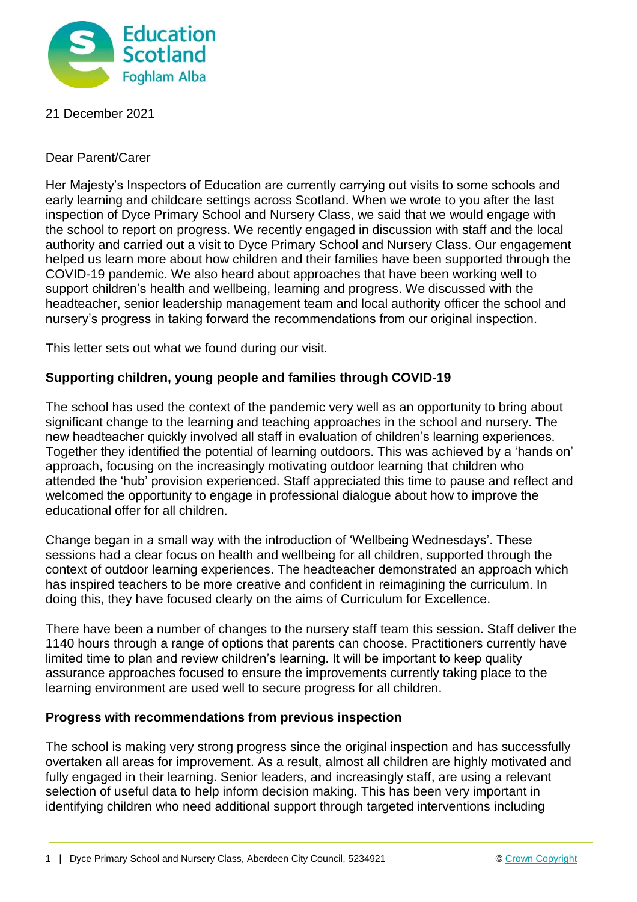

# 21 December 2021

## Dear Parent/Carer

Her Majesty's Inspectors of Education are currently carrying out visits to some schools and early learning and childcare settings across Scotland. When we wrote to you after the last inspection of Dyce Primary School and Nursery Class, we said that we would engage with the school to report on progress. We recently engaged in discussion with staff and the local authority and carried out a visit to Dyce Primary School and Nursery Class. Our engagement helped us learn more about how children and their families have been supported through the COVID-19 pandemic. We also heard about approaches that have been working well to support children's health and wellbeing, learning and progress. We discussed with the headteacher, senior leadership management team and local authority officer the school and nursery's progress in taking forward the recommendations from our original inspection.

This letter sets out what we found during our visit.

### **Supporting children, young people and families through COVID-19**

The school has used the context of the pandemic very well as an opportunity to bring about significant change to the learning and teaching approaches in the school and nursery. The new headteacher quickly involved all staff in evaluation of children's learning experiences. Together they identified the potential of learning outdoors. This was achieved by a 'hands on' approach, focusing on the increasingly motivating outdoor learning that children who attended the 'hub' provision experienced. Staff appreciated this time to pause and reflect and welcomed the opportunity to engage in professional dialogue about how to improve the educational offer for all children.

Change began in a small way with the introduction of 'Wellbeing Wednesdays'. These sessions had a clear focus on health and wellbeing for all children, supported through the context of outdoor learning experiences. The headteacher demonstrated an approach which has inspired teachers to be more creative and confident in reimagining the curriculum. In doing this, they have focused clearly on the aims of Curriculum for Excellence.

There have been a number of changes to the nursery staff team this session. Staff deliver the 1140 hours through a range of options that parents can choose. Practitioners currently have limited time to plan and review children's learning. It will be important to keep quality assurance approaches focused to ensure the improvements currently taking place to the learning environment are used well to secure progress for all children.

### **Progress with recommendations from previous inspection**

The school is making very strong progress since the original inspection and has successfully overtaken all areas for improvement. As a result, almost all children are highly motivated and fully engaged in their learning. Senior leaders, and increasingly staff, are using a relevant selection of useful data to help inform decision making. This has been very important in identifying children who need additional support through targeted interventions including